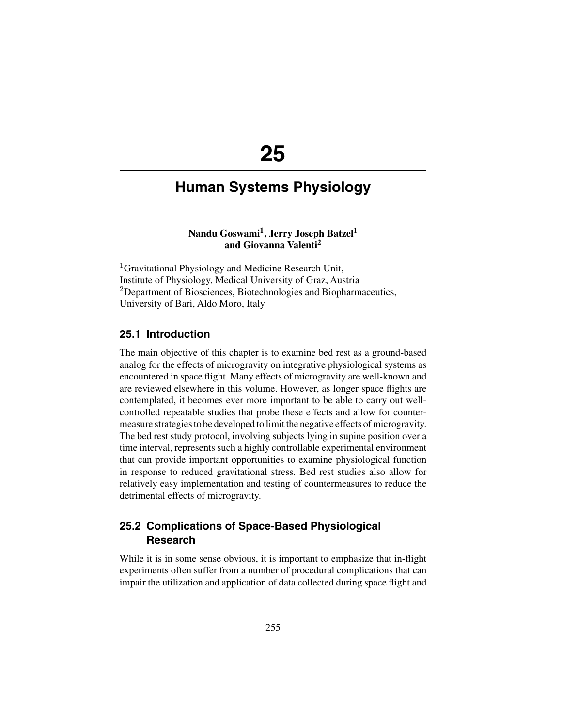# **25**

## **Human Systems Physiology**

## **Nandu Goswami1, Jerry Joseph Batzel1 and Giovanna Valenti2**

<sup>1</sup>Gravitational Physiology and Medicine Research Unit, Institute of Physiology, Medical University of Graz, Austria <sup>2</sup>Department of Biosciences, Biotechnologies and Biopharmaceutics, University of Bari, Aldo Moro, Italy

#### **25.1 Introduction**

The main objective of this chapter is to examine bed rest as a ground-based analog for the effects of microgravity on integrative physiological systems as encountered in space flight. Many effects of microgravity are well-known and are reviewed elsewhere in this volume. However, as longer space flights are contemplated, it becomes ever more important to be able to carry out wellcontrolled repeatable studies that probe these effects and allow for countermeasure strategies to be developed to limit the negative effects of microgravity. The bed rest study protocol, involving subjects lying in supine position over a time interval, represents such a highly controllable experimental environment that can provide important opportunities to examine physiological function in response to reduced gravitational stress. Bed rest studies also allow for relatively easy implementation and testing of countermeasures to reduce the detrimental effects of microgravity.

## **25.2 Complications of Space-Based Physiological Research**

While it is in some sense obvious, it is important to emphasize that in-flight experiments often suffer from a number of procedural complications that can impair the utilization and application of data collected during space flight and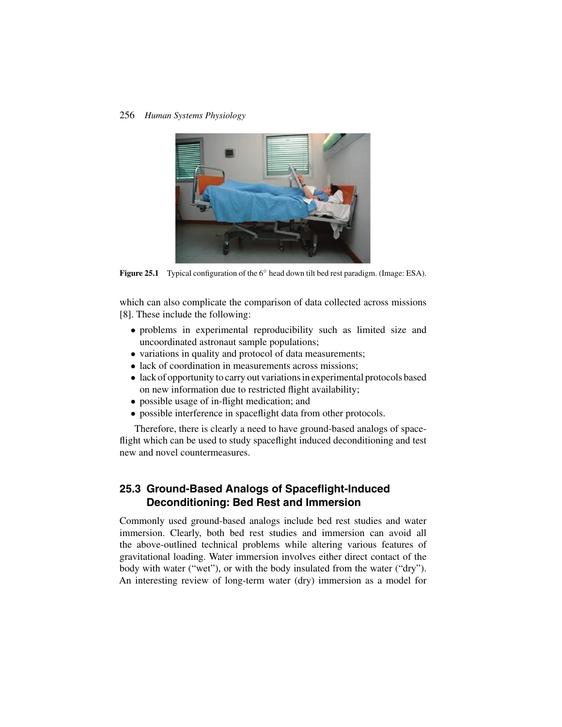

Figure 25.1 Typical configuration of the 6<sup>°</sup> head down tilt bed rest paradigm. (Image: ESA).

which can also complicate the comparison of data collected across missions [8]. These include the following:

- problems in experimental reproducibility such as limited size and uncoordinated astronaut sample populations;
- variations in quality and protocol of data measurements;
- lack of coordination in measurements across missions;
- lack of opportunity to carry out variations in experimental protocols based on new information due to restricted flight availability;
- possible usage of in-flight medication; and
- possible interference in spaceflight data from other protocols.

Therefore, there is clearly a need to have ground-based analogs of spaceflight which can be used to study spaceflight induced deconditioning and test new and novel countermeasures.

## **25.3 Ground-Based Analogs of Spaceflight-Induced Deconditioning: Bed Rest and Immersion**

Commonly used ground-based analogs include bed rest studies and water immersion. Clearly, both bed rest studies and immersion can avoid all the above-outlined technical problems while altering various features of gravitational loading. Water immersion involves either direct contact of the body with water ("wet"), or with the body insulated from the water ("dry"). An interesting review of long-term water (dry) immersion as a model for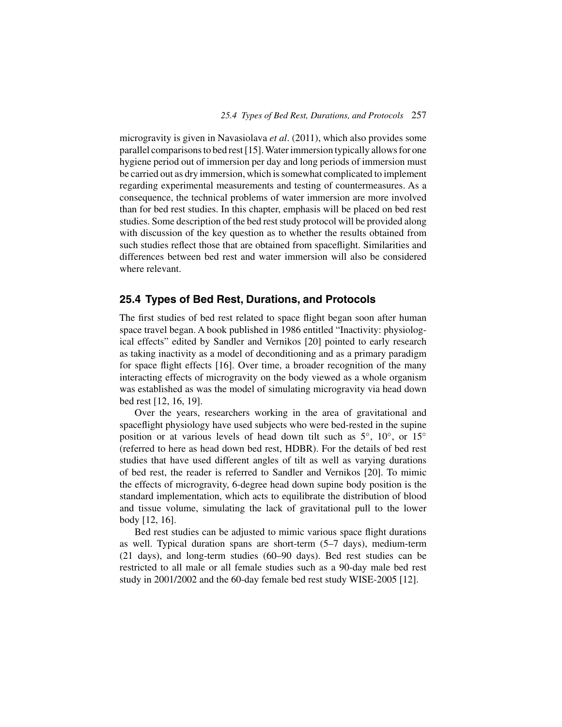microgravity is given in Navasiolava *et al*. (2011), which also provides some parallel comparisons to bed rest [15].Water immersion typically allows for one hygiene period out of immersion per day and long periods of immersion must be carried out as dry immersion, which is somewhat complicated to implement regarding experimental measurements and testing of countermeasures. As a consequence, the technical problems of water immersion are more involved than for bed rest studies. In this chapter, emphasis will be placed on bed rest studies. Some description of the bed rest study protocol will be provided along with discussion of the key question as to whether the results obtained from such studies reflect those that are obtained from spaceflight. Similarities and differences between bed rest and water immersion will also be considered where relevant.

## **25.4 Types of Bed Rest, Durations, and Protocols**

The first studies of bed rest related to space flight began soon after human space travel began. A book published in 1986 entitled "Inactivity: physiological effects" edited by Sandler and Vernikos [20] pointed to early research as taking inactivity as a model of deconditioning and as a primary paradigm for space flight effects [16]. Over time, a broader recognition of the many interacting effects of microgravity on the body viewed as a whole organism was established as was the model of simulating microgravity via head down bed rest [12, 16, 19].

Over the years, researchers working in the area of gravitational and spaceflight physiology have used subjects who were bed-rested in the supine position or at various levels of head down tilt such as 5<sup>°</sup>, 10<sup>°</sup>, or 15<sup>°</sup> (referred to here as head down bed rest, HDBR). For the details of bed rest studies that have used different angles of tilt as well as varying durations of bed rest, the reader is referred to Sandler and Vernikos [20]. To mimic the effects of microgravity, 6-degree head down supine body position is the standard implementation, which acts to equilibrate the distribution of blood and tissue volume, simulating the lack of gravitational pull to the lower body [12, 16].

Bed rest studies can be adjusted to mimic various space flight durations as well. Typical duration spans are short-term (5–7 days), medium-term (21 days), and long-term studies (60–90 days). Bed rest studies can be restricted to all male or all female studies such as a 90-day male bed rest study in 2001/2002 and the 60-day female bed rest study WISE-2005 [12].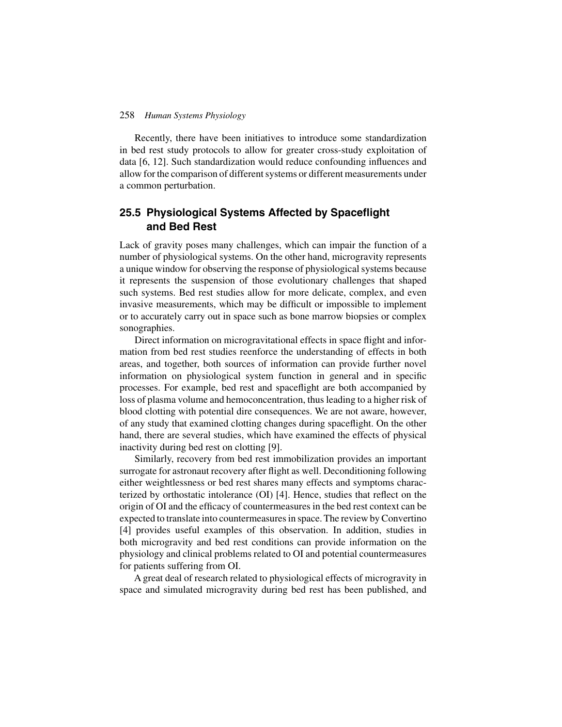Recently, there have been initiatives to introduce some standardization in bed rest study protocols to allow for greater cross-study exploitation of data [6, 12]. Such standardization would reduce confounding influences and allow for the comparison of different systems or different measurements under a common perturbation.

## **25.5 Physiological Systems Affected by Spaceflight and Bed Rest**

Lack of gravity poses many challenges, which can impair the function of a number of physiological systems. On the other hand, microgravity represents a unique window for observing the response of physiological systems because it represents the suspension of those evolutionary challenges that shaped such systems. Bed rest studies allow for more delicate, complex, and even invasive measurements, which may be difficult or impossible to implement or to accurately carry out in space such as bone marrow biopsies or complex sonographies.

Direct information on microgravitational effects in space flight and information from bed rest studies reenforce the understanding of effects in both areas, and together, both sources of information can provide further novel information on physiological system function in general and in specific processes. For example, bed rest and spaceflight are both accompanied by loss of plasma volume and hemoconcentration, thus leading to a higher risk of blood clotting with potential dire consequences. We are not aware, however, of any study that examined clotting changes during spaceflight. On the other hand, there are several studies, which have examined the effects of physical inactivity during bed rest on clotting [9].

Similarly, recovery from bed rest immobilization provides an important surrogate for astronaut recovery after flight as well. Deconditioning following either weightlessness or bed rest shares many effects and symptoms characterized by orthostatic intolerance (OI) [4]. Hence, studies that reflect on the origin of OI and the efficacy of countermeasures in the bed rest context can be expected to translate into countermeasures in space. The review by Convertino [4] provides useful examples of this observation. In addition, studies in both microgravity and bed rest conditions can provide information on the physiology and clinical problems related to OI and potential countermeasures for patients suffering from OI.

A great deal of research related to physiological effects of microgravity in space and simulated microgravity during bed rest has been published, and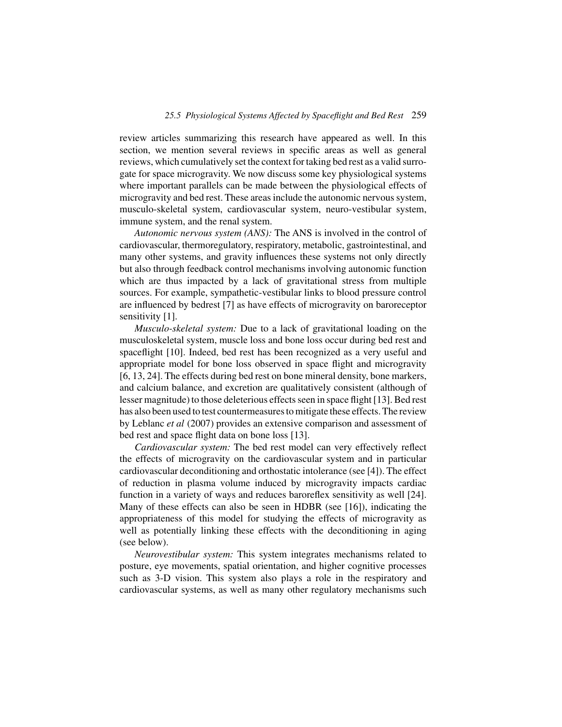review articles summarizing this research have appeared as well. In this section, we mention several reviews in specific areas as well as general reviews, which cumulatively set the context for taking bed rest as a valid surrogate for space microgravity. We now discuss some key physiological systems where important parallels can be made between the physiological effects of microgravity and bed rest. These areas include the autonomic nervous system, musculo-skeletal system, cardiovascular system, neuro-vestibular system, immune system, and the renal system.

*Autonomic nervous system (ANS):* The ANS is involved in the control of cardiovascular, thermoregulatory, respiratory, metabolic, gastrointestinal, and many other systems, and gravity influences these systems not only directly but also through feedback control mechanisms involving autonomic function which are thus impacted by a lack of gravitational stress from multiple sources. For example, sympathetic-vestibular links to blood pressure control are influenced by bedrest [7] as have effects of microgravity on baroreceptor sensitivity [1].

*Musculo-skeletal system:* Due to a lack of gravitational loading on the musculoskeletal system, muscle loss and bone loss occur during bed rest and spaceflight [10]. Indeed, bed rest has been recognized as a very useful and appropriate model for bone loss observed in space flight and microgravity [6, 13, 24]. The effects during bed rest on bone mineral density, bone markers, and calcium balance, and excretion are qualitatively consistent (although of lesser magnitude) to those deleterious effects seen in space flight [13]. Bed rest has also been used to test countermeasures to mitigate these effects. The review by Leblanc *et al* (2007) provides an extensive comparison and assessment of bed rest and space flight data on bone loss [13].

*Cardiovascular system:* The bed rest model can very effectively reflect the effects of microgravity on the cardiovascular system and in particular cardiovascular deconditioning and orthostatic intolerance (see [4]). The effect of reduction in plasma volume induced by microgravity impacts cardiac function in a variety of ways and reduces baroreflex sensitivity as well [24]. Many of these effects can also be seen in HDBR (see [16]), indicating the appropriateness of this model for studying the effects of microgravity as well as potentially linking these effects with the deconditioning in aging (see below).

*Neurovestibular system:* This system integrates mechanisms related to posture, eye movements, spatial orientation, and higher cognitive processes such as 3-D vision. This system also plays a role in the respiratory and cardiovascular systems, as well as many other regulatory mechanisms such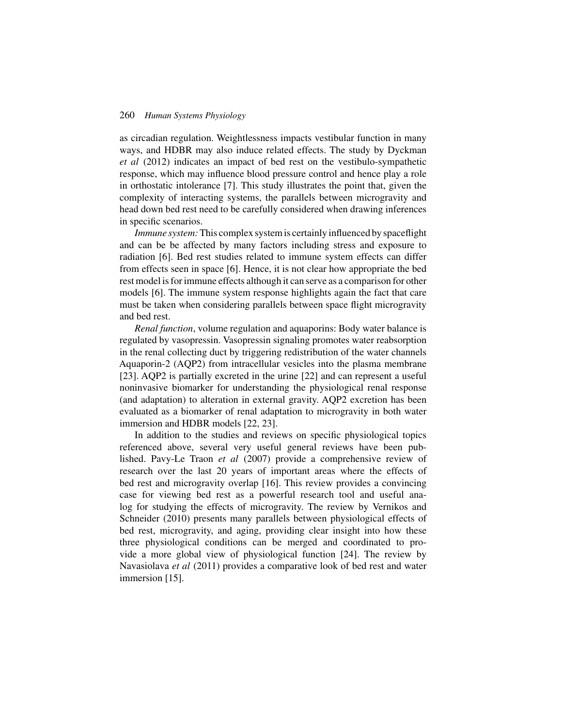as circadian regulation. Weightlessness impacts vestibular function in many ways, and HDBR may also induce related effects. The study by Dyckman *et al* (2012) indicates an impact of bed rest on the vestibulo-sympathetic response, which may influence blood pressure control and hence play a role in orthostatic intolerance [7]. This study illustrates the point that, given the complexity of interacting systems, the parallels between microgravity and head down bed rest need to be carefully considered when drawing inferences in specific scenarios.

*Immune system:*This complex system is certainly influenced by spaceflight and can be be affected by many factors including stress and exposure to radiation [6]. Bed rest studies related to immune system effects can differ from effects seen in space [6]. Hence, it is not clear how appropriate the bed rest model is for immune effects although it can serve as a comparison for other models [6]. The immune system response highlights again the fact that care must be taken when considering parallels between space flight microgravity and bed rest.

*Renal function*, volume regulation and aquaporins: Body water balance is regulated by vasopressin. Vasopressin signaling promotes water reabsorption in the renal collecting duct by triggering redistribution of the water channels Aquaporin-2 (AQP2) from intracellular vesicles into the plasma membrane [23]. AQP2 is partially excreted in the urine [22] and can represent a useful noninvasive biomarker for understanding the physiological renal response (and adaptation) to alteration in external gravity. AQP2 excretion has been evaluated as a biomarker of renal adaptation to microgravity in both water immersion and HDBR models [22, 23].

In addition to the studies and reviews on specific physiological topics referenced above, several very useful general reviews have been published. Pavy-Le Traon *et al* (2007) provide a comprehensive review of research over the last 20 years of important areas where the effects of bed rest and microgravity overlap [16]. This review provides a convincing case for viewing bed rest as a powerful research tool and useful analog for studying the effects of microgravity. The review by Vernikos and Schneider (2010) presents many parallels between physiological effects of bed rest, microgravity, and aging, providing clear insight into how these three physiological conditions can be merged and coordinated to provide a more global view of physiological function [24]. The review by Navasiolava *et al* (2011) provides a comparative look of bed rest and water immersion [15].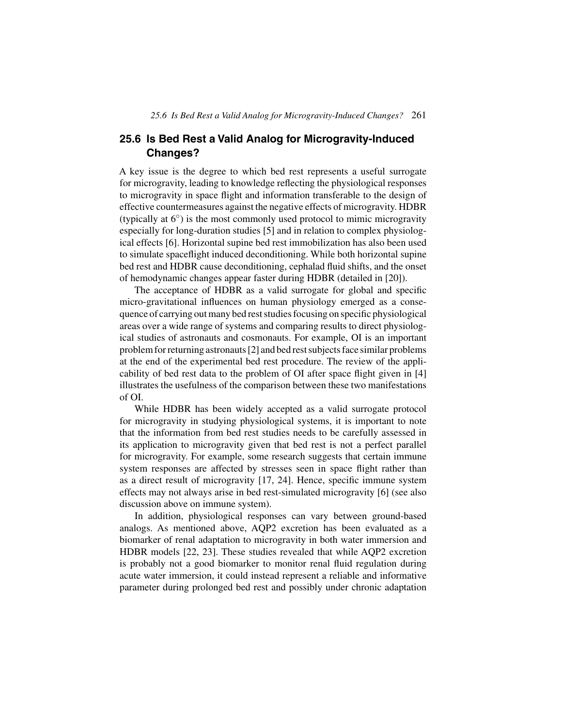## **25.6 Is Bed Rest a Valid Analog for Microgravity-Induced Changes?**

A key issue is the degree to which bed rest represents a useful surrogate for microgravity, leading to knowledge reflecting the physiological responses to microgravity in space flight and information transferable to the design of effective countermeasures against the negative effects of microgravity. HDBR (typically at 6◦) is the most commonly used protocol to mimic microgravity especially for long-duration studies [5] and in relation to complex physiological effects [6]. Horizontal supine bed rest immobilization has also been used to simulate spaceflight induced deconditioning. While both horizontal supine bed rest and HDBR cause deconditioning, cephalad fluid shifts, and the onset of hemodynamic changes appear faster during HDBR (detailed in [20]).

The acceptance of HDBR as a valid surrogate for global and specific micro-gravitational influences on human physiology emerged as a consequence of carrying out many bed rest studies focusing on specific physiological areas over a wide range of systems and comparing results to direct physiological studies of astronauts and cosmonauts. For example, OI is an important problem for returning astronauts [2] and bed rest subjects face similar problems at the end of the experimental bed rest procedure. The review of the applicability of bed rest data to the problem of OI after space flight given in [4] illustrates the usefulness of the comparison between these two manifestations of OI.

While HDBR has been widely accepted as a valid surrogate protocol for microgravity in studying physiological systems, it is important to note that the information from bed rest studies needs to be carefully assessed in its application to microgravity given that bed rest is not a perfect parallel for microgravity. For example, some research suggests that certain immune system responses are affected by stresses seen in space flight rather than as a direct result of microgravity [17, 24]. Hence, specific immune system effects may not always arise in bed rest-simulated microgravity [6] (see also discussion above on immune system).

In addition, physiological responses can vary between ground-based analogs. As mentioned above, AQP2 excretion has been evaluated as a biomarker of renal adaptation to microgravity in both water immersion and HDBR models [22, 23]. These studies revealed that while AQP2 excretion is probably not a good biomarker to monitor renal fluid regulation during acute water immersion, it could instead represent a reliable and informative parameter during prolonged bed rest and possibly under chronic adaptation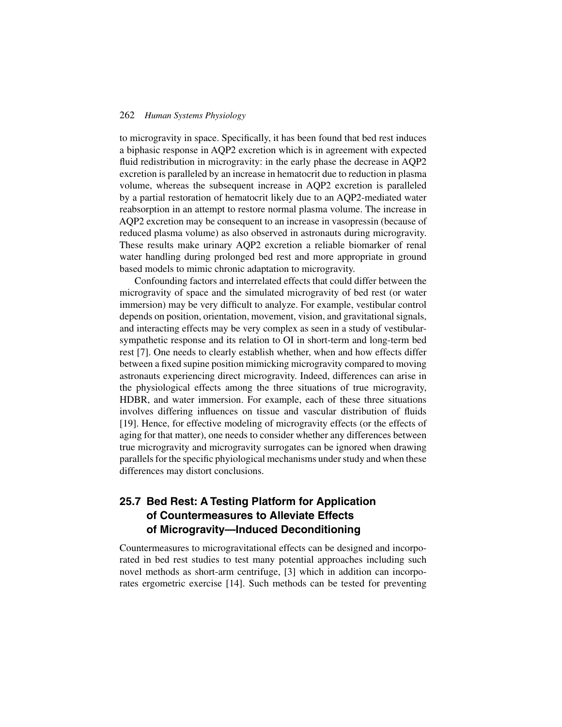to microgravity in space. Specifically, it has been found that bed rest induces a biphasic response in AQP2 excretion which is in agreement with expected fluid redistribution in microgravity: in the early phase the decrease in AQP2 excretion is paralleled by an increase in hematocrit due to reduction in plasma volume, whereas the subsequent increase in AQP2 excretion is paralleled by a partial restoration of hematocrit likely due to an AQP2-mediated water reabsorption in an attempt to restore normal plasma volume. The increase in AQP2 excretion may be consequent to an increase in vasopressin (because of reduced plasma volume) as also observed in astronauts during microgravity. These results make urinary AQP2 excretion a reliable biomarker of renal water handling during prolonged bed rest and more appropriate in ground based models to mimic chronic adaptation to microgravity.

Confounding factors and interrelated effects that could differ between the microgravity of space and the simulated microgravity of bed rest (or water immersion) may be very difficult to analyze. For example, vestibular control depends on position, orientation, movement, vision, and gravitational signals, and interacting effects may be very complex as seen in a study of vestibularsympathetic response and its relation to OI in short-term and long-term bed rest [7]. One needs to clearly establish whether, when and how effects differ between a fixed supine position mimicking microgravity compared to moving astronauts experiencing direct microgravity. Indeed, differences can arise in the physiological effects among the three situations of true microgravity, HDBR, and water immersion. For example, each of these three situations involves differing influences on tissue and vascular distribution of fluids [19]. Hence, for effective modeling of microgravity effects (or the effects of aging for that matter), one needs to consider whether any differences between true microgravity and microgravity surrogates can be ignored when drawing parallels for the specific phyiological mechanisms under study and when these differences may distort conclusions.

## **25.7 Bed Rest: A Testing Platform for Application of Countermeasures to Alleviate Effects of Microgravity—Induced Deconditioning**

Countermeasures to microgravitational effects can be designed and incorporated in bed rest studies to test many potential approaches including such novel methods as short-arm centrifuge, [3] which in addition can incorporates ergometric exercise [14]. Such methods can be tested for preventing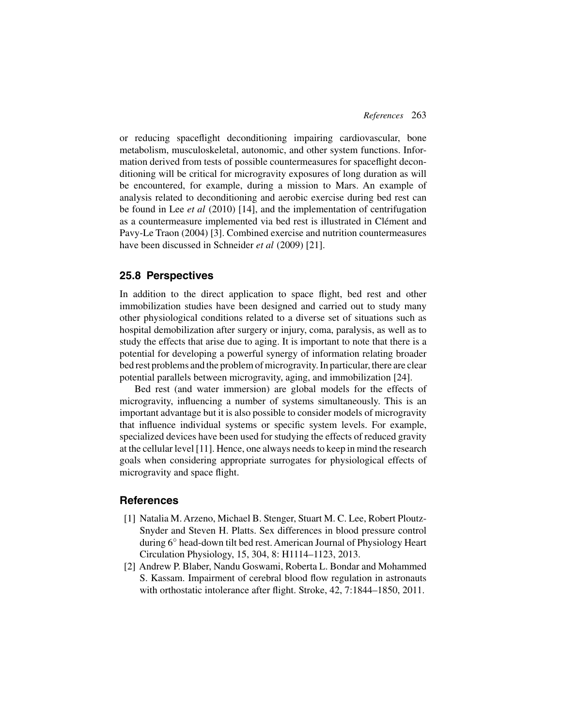or reducing spaceflight deconditioning impairing cardiovascular, bone metabolism, musculoskeletal, autonomic, and other system functions. Information derived from tests of possible countermeasures for spaceflight deconditioning will be critical for microgravity exposures of long duration as will be encountered, for example, during a mission to Mars. An example of analysis related to deconditioning and aerobic exercise during bed rest can be found in Lee *et al* (2010) [14], and the implementation of centrifugation as a countermeasure implemented via bed rest is illustrated in Clément and Pavy-Le Traon (2004) [3]. Combined exercise and nutrition countermeasures have been discussed in Schneider *et al* (2009) [21].

#### **25.8 Perspectives**

In addition to the direct application to space flight, bed rest and other immobilization studies have been designed and carried out to study many other physiological conditions related to a diverse set of situations such as hospital demobilization after surgery or injury, coma, paralysis, as well as to study the effects that arise due to aging. It is important to note that there is a potential for developing a powerful synergy of information relating broader bed rest problems and the problem of microgravity. In particular, there are clear potential parallels between microgravity, aging, and immobilization [24].

Bed rest (and water immersion) are global models for the effects of microgravity, influencing a number of systems simultaneously. This is an important advantage but it is also possible to consider models of microgravity that influence individual systems or specific system levels. For example, specialized devices have been used for studying the effects of reduced gravity at the cellular level [11]. Hence, one always needs to keep in mind the research goals when considering appropriate surrogates for physiological effects of microgravity and space flight.

## **References**

- [1] Natalia M. Arzeno, Michael B. Stenger, Stuart M. C. Lee, Robert Ploutz-Snyder and Steven H. Platts. Sex differences in blood pressure control during 6◦ head-down tilt bed rest. American Journal of Physiology Heart Circulation Physiology, 15, 304, 8: H1114–1123, 2013.
- [2] Andrew P. Blaber, Nandu Goswami, Roberta L. Bondar and Mohammed S. Kassam. Impairment of cerebral blood flow regulation in astronauts with orthostatic intolerance after flight. Stroke, 42, 7:1844–1850, 2011.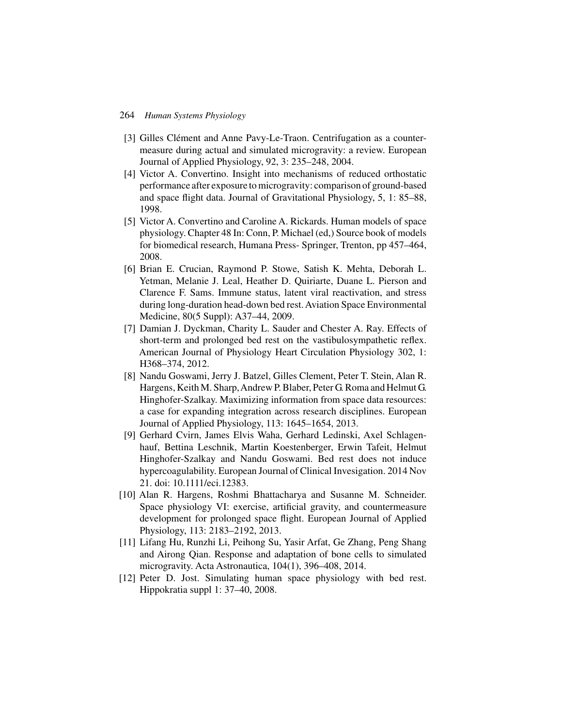- [3] Gilles Clément and Anne Pavy-Le-Traon. Centrifugation as a countermeasure during actual and simulated microgravity: a review. European Journal of Applied Physiology, 92, 3: 235–248, 2004.
- [4] Victor A. Convertino. Insight into mechanisms of reduced orthostatic performance after exposure to microgravity: comparison of ground-based and space flight data. Journal of Gravitational Physiology, 5, 1: 85–88, 1998.
- [5] Victor A. Convertino and Caroline A. Rickards. Human models of space physiology. Chapter 48 In: Conn, P. Michael (ed,) Source book of models for biomedical research, Humana Press- Springer, Trenton, pp 457–464, 2008.
- [6] Brian E. Crucian, Raymond P. Stowe, Satish K. Mehta, Deborah L. Yetman, Melanie J. Leal, Heather D. Quiriarte, Duane L. Pierson and Clarence F. Sams. Immune status, latent viral reactivation, and stress during long-duration head-down bed rest. Aviation Space Environmental Medicine, 80(5 Suppl): A37–44, 2009.
- [7] Damian J. Dyckman, Charity L. Sauder and Chester A. Ray. Effects of short-term and prolonged bed rest on the vastibulosympathetic reflex. American Journal of Physiology Heart Circulation Physiology 302, 1: H368–374, 2012.
- [8] Nandu Goswami, Jerry J. Batzel, Gilles Clement, Peter T. Stein, Alan R. Hargens, Keith M. Sharp,Andrew P. Blaber, Peter G. Roma and Helmut G. Hinghofer-Szalkay. Maximizing information from space data resources: a case for expanding integration across research disciplines. European Journal of Applied Physiology, 113: 1645–1654, 2013.
- [9] Gerhard Cvirn, James Elvis Waha, Gerhard Ledinski, Axel Schlagenhauf, Bettina Leschnik, Martin Koestenberger, Erwin Tafeit, Helmut Hinghofer-Szalkay and Nandu Goswami. Bed rest does not induce hypercoagulability. European Journal of Clinical Invesigation. 2014 Nov 21. doi: 10.1111/eci.12383.
- [10] Alan R. Hargens, Roshmi Bhattacharya and Susanne M. Schneider. Space physiology VI: exercise, artificial gravity, and countermeasure development for prolonged space flight. European Journal of Applied Physiology, 113: 2183–2192, 2013.
- [11] Lifang Hu, Runzhi Li, Peihong Su, Yasir Arfat, Ge Zhang, Peng Shang and Airong Qian. Response and adaptation of bone cells to simulated microgravity. Acta Astronautica, 104(1), 396–408, 2014.
- [12] Peter D. Jost. Simulating human space physiology with bed rest. Hippokratia suppl 1: 37–40, 2008.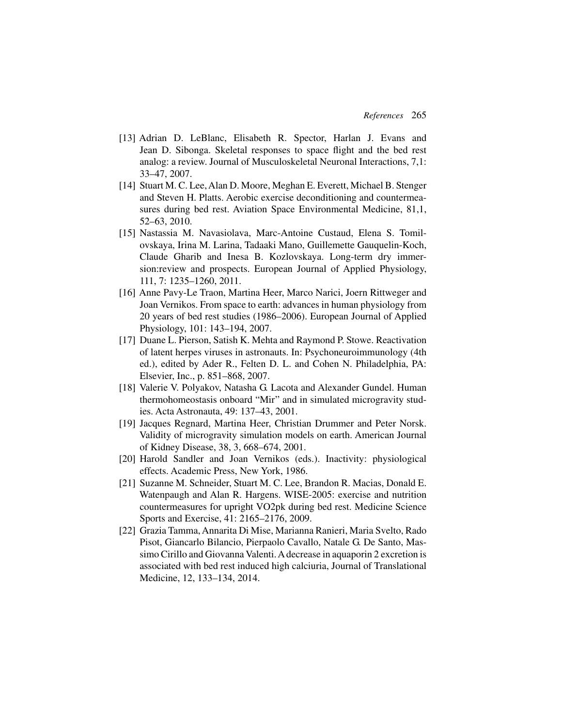- [13] Adrian D. LeBlanc, Elisabeth R. Spector, Harlan J. Evans and Jean D. Sibonga. Skeletal responses to space flight and the bed rest analog: a review. Journal of Musculoskeletal Neuronal Interactions, 7,1: 33–47, 2007.
- [14] Stuart M. C. Lee, Alan D. Moore, Meghan E. Everett, Michael B. Stenger and Steven H. Platts. Aerobic exercise deconditioning and countermeasures during bed rest. Aviation Space Environmental Medicine, 81,1, 52–63, 2010.
- [15] Nastassia M. Navasiolava, Marc-Antoine Custaud, Elena S. Tomilovskaya, Irina M. Larina, Tadaaki Mano, Guillemette Gauquelin-Koch, Claude Gharib and Inesa B. Kozlovskaya. Long-term dry immersion:review and prospects. European Journal of Applied Physiology, 111, 7: 1235–1260, 2011.
- [16] Anne Pavy-Le Traon, Martina Heer, Marco Narici, Joern Rittweger and Joan Vernikos. From space to earth: advances in human physiology from 20 years of bed rest studies (1986–2006). European Journal of Applied Physiology, 101: 143–194, 2007.
- [17] Duane L. Pierson, Satish K. Mehta and Raymond P. Stowe. Reactivation of latent herpes viruses in astronauts. In: Psychoneuroimmunology (4th ed.), edited by Ader R., Felten D. L. and Cohen N. Philadelphia, PA: Elsevier, Inc., p. 851–868, 2007.
- [18] Valerie V. Polyakov, Natasha G. Lacota and Alexander Gundel. Human thermohomeostasis onboard "Mir" and in simulated microgravity studies. Acta Astronauta, 49: 137–43, 2001.
- [19] Jacques Regnard, Martina Heer, Christian Drummer and Peter Norsk. Validity of microgravity simulation models on earth. American Journal of Kidney Disease, 38, 3, 668–674, 2001.
- [20] Harold Sandler and Joan Vernikos (eds.). Inactivity: physiological effects. Academic Press, New York, 1986.
- [21] Suzanne M. Schneider, Stuart M. C. Lee, Brandon R. Macias, Donald E. Watenpaugh and Alan R. Hargens. WISE-2005: exercise and nutrition countermeasures for upright VO2pk during bed rest. Medicine Science Sports and Exercise, 41: 2165–2176, 2009.
- [22] Grazia Tamma, Annarita Di Mise, Marianna Ranieri, Maria Svelto, Rado Pisot, Giancarlo Bilancio, Pierpaolo Cavallo, Natale G. De Santo, Massimo Cirillo and Giovanna Valenti. A decrease in aquaporin 2 excretion is associated with bed rest induced high calciuria, Journal of Translational Medicine, 12, 133–134, 2014.